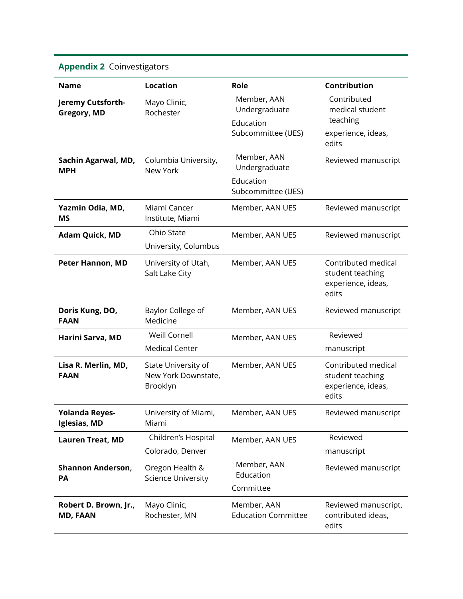## **Appendix 2** Coinvestigators

| <b>Name</b>                              | <b>Location</b>                                        | Role                                      | Contribution                                                           |
|------------------------------------------|--------------------------------------------------------|-------------------------------------------|------------------------------------------------------------------------|
| Jeremy Cutsforth-<br>Gregory, MD         | Mayo Clinic,<br>Rochester                              | Member, AAN<br>Undergraduate              | Contributed<br>medical student                                         |
|                                          |                                                        | Education<br>Subcommittee (UES)           | teaching<br>experience, ideas,<br>edits                                |
| Sachin Agarwal, MD,<br><b>MPH</b>        | Columbia University,<br>New York                       | Member, AAN<br>Undergraduate              | Reviewed manuscript                                                    |
|                                          |                                                        | Education<br>Subcommittee (UES)           |                                                                        |
| Yazmin Odia, MD,<br><b>MS</b>            | Miami Cancer<br>Institute, Miami                       | Member, AAN UES                           | Reviewed manuscript                                                    |
| <b>Adam Quick, MD</b>                    | Ohio State<br>University, Columbus                     | Member, AAN UES                           | Reviewed manuscript                                                    |
| Peter Hannon, MD                         | University of Utah,<br>Salt Lake City                  | Member, AAN UES                           | Contributed medical<br>student teaching<br>experience, ideas,<br>edits |
| Doris Kung, DO,<br><b>FAAN</b>           | Baylor College of<br>Medicine                          | Member, AAN UES                           | Reviewed manuscript                                                    |
| Harini Sarva, MD                         | <b>Weill Cornell</b><br><b>Medical Center</b>          | Member, AAN UES                           | Reviewed<br>manuscript                                                 |
| Lisa R. Merlin, MD,<br><b>FAAN</b>       | State University of<br>New York Downstate,<br>Brooklyn | Member, AAN UES                           | Contributed medical<br>student teaching<br>experience, ideas,<br>edits |
| <b>Yolanda Reyes-</b><br>Iglesias, MD    | University of Miami,<br>Miami                          | Member, AAN UES                           | Reviewed manuscript                                                    |
| <b>Lauren Treat, MD</b>                  | Children's Hospital                                    | Member, AAN UES                           | Reviewed                                                               |
|                                          | Colorado, Denver                                       |                                           | manuscript                                                             |
| <b>Shannon Anderson,</b><br>PA           | Oregon Health &<br><b>Science University</b>           | Member, AAN<br>Education                  | Reviewed manuscript                                                    |
|                                          |                                                        | Committee                                 |                                                                        |
| Robert D. Brown, Jr.,<br><b>MD, FAAN</b> | Mayo Clinic,<br>Rochester, MN                          | Member, AAN<br><b>Education Committee</b> | Reviewed manuscript,<br>contributed ideas,<br>edits                    |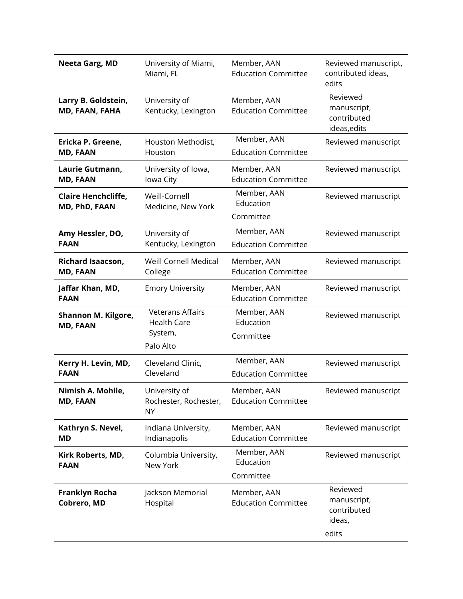| Neeta Garg, MD                              | University of Miami,<br>Miami, FL                                     | Member, AAN<br><b>Education Committee</b> | Reviewed manuscript,<br>contributed ideas,<br>edits       |
|---------------------------------------------|-----------------------------------------------------------------------|-------------------------------------------|-----------------------------------------------------------|
| Larry B. Goldstein,<br>MD, FAAN, FAHA       | University of<br>Kentucky, Lexington                                  | Member, AAN<br><b>Education Committee</b> | Reviewed<br>manuscript,<br>contributed<br>ideas, edits    |
| Ericka P. Greene,<br><b>MD, FAAN</b>        | Houston Methodist,<br>Houston                                         | Member, AAN<br><b>Education Committee</b> | Reviewed manuscript                                       |
| Laurie Gutmann,<br><b>MD, FAAN</b>          | University of Iowa,<br>Iowa City                                      | Member, AAN<br><b>Education Committee</b> | Reviewed manuscript                                       |
| <b>Claire Henchcliffe,</b><br>MD, PhD, FAAN | Weill-Cornell<br>Medicine, New York                                   | Member, AAN<br>Education<br>Committee     | Reviewed manuscript                                       |
| Amy Hessler, DO,<br><b>FAAN</b>             | University of<br>Kentucky, Lexington                                  | Member, AAN<br><b>Education Committee</b> | Reviewed manuscript                                       |
| <b>Richard Isaacson,</b><br><b>MD, FAAN</b> | <b>Weill Cornell Medical</b><br>College                               | Member, AAN<br><b>Education Committee</b> | Reviewed manuscript                                       |
| Jaffar Khan, MD,<br><b>FAAN</b>             | <b>Emory University</b>                                               | Member, AAN<br><b>Education Committee</b> | Reviewed manuscript                                       |
| Shannon M. Kilgore,<br><b>MD, FAAN</b>      | <b>Veterans Affairs</b><br><b>Health Care</b><br>System,<br>Palo Alto | Member, AAN<br>Education<br>Committee     | Reviewed manuscript                                       |
| Kerry H. Levin, MD,<br><b>FAAN</b>          | Cleveland Clinic,<br>Cleveland                                        | Member, AAN<br><b>Education Committee</b> | Reviewed manuscript                                       |
| Nimish A. Mohile,<br><b>MD, FAAN</b>        | University of<br>Rochester, Rochester,<br><b>NY</b>                   | Member, AAN<br><b>Education Committee</b> | Reviewed manuscript                                       |
| Kathryn S. Nevel,<br><b>MD</b>              | Indiana University,<br>Indianapolis                                   | Member, AAN<br><b>Education Committee</b> | Reviewed manuscript                                       |
| Kirk Roberts, MD,<br><b>FAAN</b>            | Columbia University,<br>New York                                      | Member, AAN<br>Education<br>Committee     | Reviewed manuscript                                       |
| <b>Franklyn Rocha</b><br>Cobrero, MD        | Jackson Memorial<br>Hospital                                          | Member, AAN<br><b>Education Committee</b> | Reviewed<br>manuscript,<br>contributed<br>ideas,<br>edits |